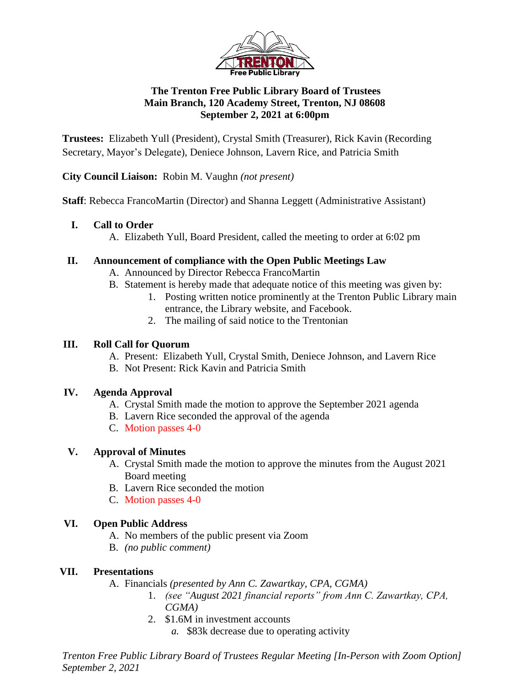

## **The Trenton Free Public Library Board of Trustees Main Branch, 120 Academy Street, Trenton, NJ 08608 September 2, 2021 at 6:00pm**

**Trustees:** Elizabeth Yull (President), Crystal Smith (Treasurer), Rick Kavin (Recording Secretary, Mayor's Delegate), Deniece Johnson, Lavern Rice, and Patricia Smith

**City Council Liaison:** Robin M. Vaughn *(not present)*

**Staff:** Rebecca FrancoMartin (Director) and Shanna Leggett (Administrative Assistant)

#### **I. Call to Order**

A. Elizabeth Yull, Board President, called the meeting to order at 6:02 pm

#### **II. Announcement of compliance with the Open Public Meetings Law**

- A. Announced by Director Rebecca FrancoMartin
- B. Statement is hereby made that adequate notice of this meeting was given by:
	- 1. Posting written notice prominently at the Trenton Public Library main entrance, the Library website, and Facebook.
	- 2. The mailing of said notice to the Trentonian

#### **III. Roll Call for Quorum**

- A. Present: Elizabeth Yull, Crystal Smith, Deniece Johnson, and Lavern Rice
- B. Not Present: Rick Kavin and Patricia Smith

## **IV. Agenda Approval**

- A. Crystal Smith made the motion to approve the September 2021 agenda
- B. Lavern Rice seconded the approval of the agenda
- C. Motion passes 4-0

## **V. Approval of Minutes**

- A. Crystal Smith made the motion to approve the minutes from the August 2021 Board meeting
- B. Lavern Rice seconded the motion
- C. Motion passes 4-0

## **VI. Open Public Address**

- A. No members of the public present via Zoom
- B. *(no public comment)*

## **VII. Presentations**

A. Financials *(presented by Ann C. Zawartkay, CPA, CGMA)*

- 1. *(see "August 2021 financial reports" from Ann C. Zawartkay, CPA, CGMA)*
- 2. \$1.6M in investment accounts
	- *a.* \$83k decrease due to operating activity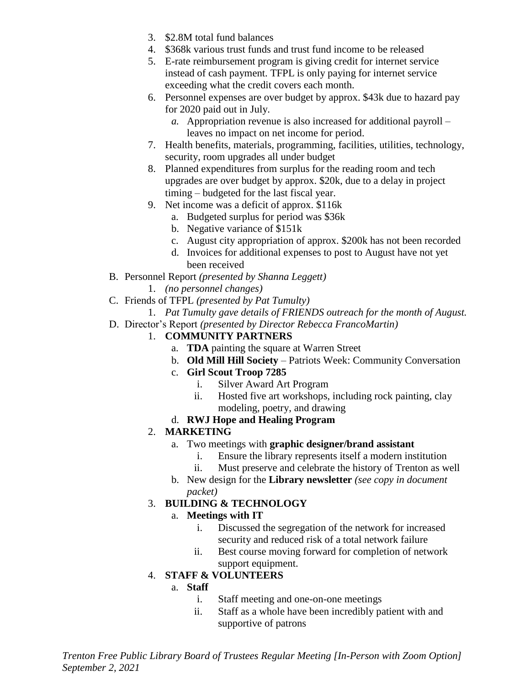- 3. \$2.8M total fund balances
- 4. \$368k various trust funds and trust fund income to be released
- 5. E-rate reimbursement program is giving credit for internet service instead of cash payment. TFPL is only paying for internet service exceeding what the credit covers each month.
- 6. Personnel expenses are over budget by approx. \$43k due to hazard pay for 2020 paid out in July.
	- *a.* Appropriation revenue is also increased for additional payroll leaves no impact on net income for period.
- 7. Health benefits, materials, programming, facilities, utilities, technology, security, room upgrades all under budget
- 8. Planned expenditures from surplus for the reading room and tech upgrades are over budget by approx. \$20k, due to a delay in project timing – budgeted for the last fiscal year.
- 9. Net income was a deficit of approx. \$116k
	- a. Budgeted surplus for period was \$36k
	- b. Negative variance of \$151k
	- c. August city appropriation of approx. \$200k has not been recorded
	- d. Invoices for additional expenses to post to August have not yet been received
- B. Personnel Report *(presented by Shanna Leggett)*
	- 1. *(no personnel changes)*
- C. Friends of TFPL *(presented by Pat Tumulty)*
- 1. *Pat Tumulty gave details of FRIENDS outreach for the month of August.*
- D. Director's Report *(presented by Director Rebecca FrancoMartin)*

#### 1. **COMMUNITY PARTNERS**

- a. **TDA** painting the square at Warren Street
- b. **Old Mill Hill Society** Patriots Week: Community Conversation
- c. **Girl Scout Troop 7285**
	- i. Silver Award Art Program
	- ii. Hosted five art workshops, including rock painting, clay modeling, poetry, and drawing
- d. **RWJ Hope and Healing Program**

#### 2. **MARKETING**

- a. Two meetings with **graphic designer/brand assistant**
	- i. Ensure the library represents itself a modern institution
	- ii. Must preserve and celebrate the history of Trenton as well
- b. New design for the **Library newsletter** *(see copy in document packet)*

#### 3. **BUILDING & TECHNOLOGY**

#### a. **Meetings with IT**

- i. Discussed the segregation of the network for increased security and reduced risk of a total network failure
- ii. Best course moving forward for completion of network support equipment.

## 4. **STAFF & VOLUNTEERS**

#### a. **Staff**

- i. Staff meeting and one-on-one meetings
- ii. Staff as a whole have been incredibly patient with and supportive of patrons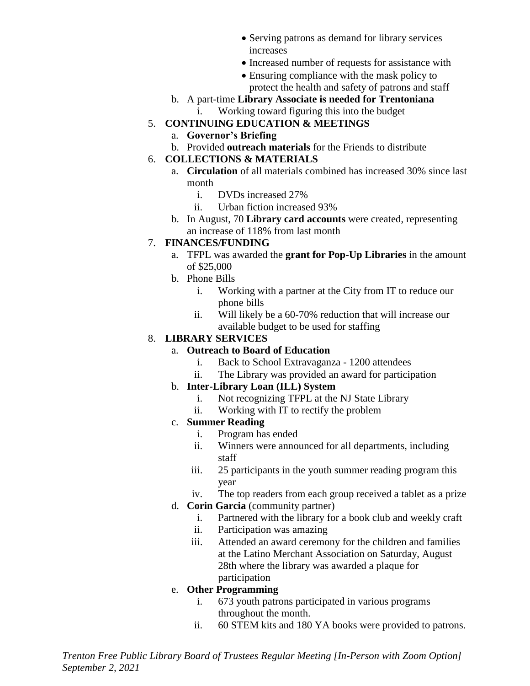- Serving patrons as demand for library services increases
- Increased number of requests for assistance with
- Ensuring compliance with the mask policy to protect the health and safety of patrons and staff
- b. A part-time **Library Associate is needed for Trentoniana**
- i. Working toward figuring this into the budget
- 5. **CONTINUING EDUCATION & MEETINGS**
	- a. **Governor's Briefing**
	- b. Provided **outreach materials** for the Friends to distribute

#### 6. **COLLECTIONS & MATERIALS**

- a. **Circulation** of all materials combined has increased 30% since last month
	- i. DVDs increased 27%
	- ii. Urban fiction increased 93%
- b. In August, 70 **Library card accounts** were created, representing an increase of 118% from last month

## 7. **FINANCES/FUNDING**

- a. TFPL was awarded the **grant for Pop-Up Libraries** in the amount of \$25,000
- b. Phone Bills
	- i. Working with a partner at the City from IT to reduce our phone bills
	- ii. Will likely be a 60-70% reduction that will increase our available budget to be used for staffing

## 8. **LIBRARY SERVICES**

## a. **Outreach to Board of Education**

- i. Back to School Extravaganza 1200 attendees
- ii. The Library was provided an award for participation

## b. **Inter-Library Loan (ILL) System**

- i. Not recognizing TFPL at the NJ State Library
- ii. Working with IT to rectify the problem

## c. **Summer Reading**

- i. Program has ended
- ii. Winners were announced for all departments, including staff
- iii. 25 participants in the youth summer reading program this year
- iv. The top readers from each group received a tablet as a prize
- d. **Corin Garcia** (community partner)
	- i. Partnered with the library for a book club and weekly craft
	- ii. Participation was amazing
	- iii. Attended an award ceremony for the children and families at the Latino Merchant Association on Saturday, August 28th where the library was awarded a plaque for participation

## e. **Other Programming**

- i. 673 youth patrons participated in various programs throughout the month.
- ii. 60 STEM kits and 180 YA books were provided to patrons.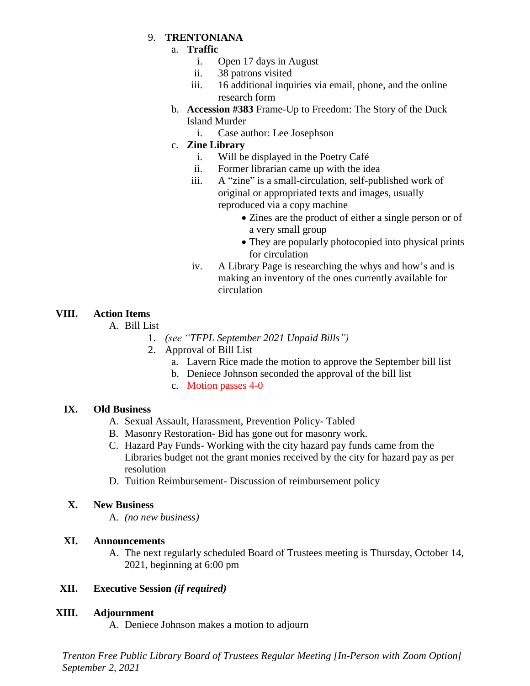#### 9. **TRENTONIANA**

#### a. **Traffic**

- i. Open 17 days in August
- ii. 38 patrons visited
- iii. 16 additional inquiries via email, phone, and the online research form
- b. **Accession #383** Frame-Up to Freedom: The Story of the Duck Island Murder
	- i. Case author: Lee Josephson

# c. **Zine Library**

- i. Will be displayed in the Poetry Café
- ii. Former librarian came up with the idea
- iii. A "zine" is a small-circulation, self-published work of original or appropriated texts and images, usually reproduced via a copy machine
	- Zines are the product of either a single person or of a very small group
	- They are popularly photocopied into physical prints for circulation
- iv. A Library Page is researching the whys and how's and is making an inventory of the ones currently available for circulation

# **VIII. Action Items**

A. Bill List

- 1. *(see "TFPL September 2021 Unpaid Bills")*
- 2. Approval of Bill List
	- a. Lavern Rice made the motion to approve the September bill list
	- b. Deniece Johnson seconded the approval of the bill list
	- c. Motion passes 4-0

## **IX. Old Business**

- A. Sexual Assault, Harassment, Prevention Policy- Tabled
- B. Masonry Restoration- Bid has gone out for masonry work.
- C. Hazard Pay Funds- Working with the city hazard pay funds came from the Libraries budget not the grant monies received by the city for hazard pay as per resolution
- D. Tuition Reimbursement- Discussion of reimbursement policy

## **X. New Business**

A. *(no new business)*

## **XI. Announcements**

A. The next regularly scheduled Board of Trustees meeting is Thursday, October 14, 2021, beginning at 6:00 pm

## **XII. Executive Session** *(if required)*

## **XIII. Adjournment**

A. Deniece Johnson makes a motion to adjourn